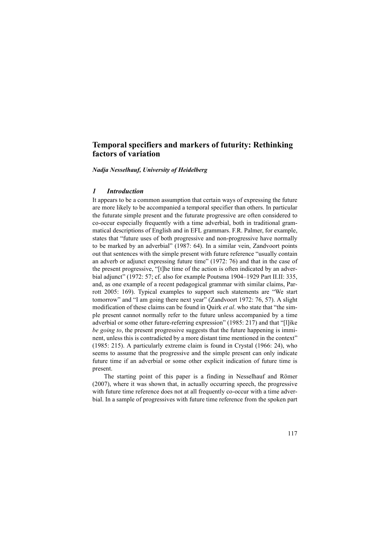# **Temporal specifiers and markers of futurity: Rethinking factors of variation**

*Nadja Nesselhauf, University of Heidelberg*

### *1 Introduction*

It appears to be a common assumption that certain ways of expressing the future are more likely to be accompanied a temporal specifier than others. In particular the futurate simple present and the futurate progressive are often considered to co-occur especially frequently with a time adverbial, both in traditional grammatical descriptions of English and in EFL grammars. F.R. Palmer, for example, states that "future uses of both progressive and non-progressive have normally to be marked by an adverbial" (1987: 64). In a similar vein, Zandvoort points out that sentences with the simple present with future reference "usually contain an adverb or adjunct expressing future time" (1972: 76) and that in the case of the present progressive, "[t]he time of the action is often indicated by an adverbial adjunct" (1972: 57; cf. also for example Poutsma 1904–1929 Part II.II: 335, and, as one example of a recent pedagogical grammar with similar claims, Parrott 2005: 169). Typical examples to support such statements are "We start tomorrow" and "I am going there next year" (Zandvoort 1972: 76, 57). A slight modification of these claims can be found in Quirk *et al*. who state that "the simple present cannot normally refer to the future unless accompanied by a time adverbial or some other future-referring expression" (1985: 217) and that "[l]ike *be going to*, the present progressive suggests that the future happening is imminent, unless this is contradicted by a more distant time mentioned in the context" (1985: 215). A particularly extreme claim is found in Crystal (1966: 24), who seems to assume that the progressive and the simple present can only indicate future time if an adverbial or some other explicit indication of future time is present.

The starting point of this paper is a finding in Nesselhauf and Römer (2007), where it was shown that, in actually occurring speech, the progressive with future time reference does not at all frequently co-occur with a time adverbial. In a sample of progressives with future time reference from the spoken part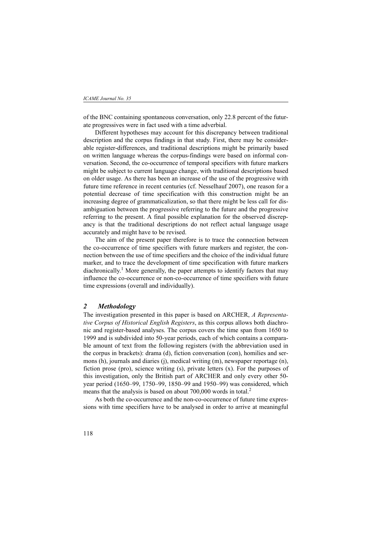of the BNC containing spontaneous conversation, only 22.8 percent of the futurate progressives were in fact used with a time adverbial.

Different hypotheses may account for this discrepancy between traditional description and the corpus findings in that study. First, there may be considerable register-differences, and traditional descriptions might be primarily based on written language whereas the corpus-findings were based on informal conversation. Second, the co-occurrence of temporal specifiers with future markers might be subject to current language change, with traditional descriptions based on older usage. As there has been an increase of the use of the progressive with future time reference in recent centuries (cf. Nesselhauf 2007), one reason for a potential decrease of time specification with this construction might be an increasing degree of grammaticalization, so that there might be less call for disambiguation between the progressive referring to the future and the progressive referring to the present. A final possible explanation for the observed discrepancy is that the traditional descriptions do not reflect actual language usage accurately and might have to be revised.

The aim of the present paper therefore is to trace the connection between the co-occurrence of time specifiers with future markers and register, the connection between the use of time specifiers and the choice of the individual future marker, and to trace the development of time specification with future markers diachronically.<sup>1</sup> More generally, the paper attempts to identify factors that may influence the co-occurrence or non-co-occurrence of time specifiers with future time expressions (overall and individually).

### *2 Methodology*

The investigation presented in this paper is based on ARCHER, *A Representative Corpus of Historical English Registers*, as this corpus allows both diachronic and register-based analyses. The corpus covers the time span from 1650 to 1999 and is subdivided into 50-year periods, each of which contains a comparable amount of text from the following registers (with the abbreviation used in the corpus in brackets): drama (d), fiction conversation (con), homilies and sermons (h), journals and diaries (j), medical writing (m), newspaper reportage (n), fiction prose (pro), science writing (s), private letters (x). For the purposes of this investigation, only the British part of ARCHER and only every other 50 year period (1650–99, 1750–99, 1850–99 and 1950–99) was considered, which means that the analysis is based on about 700,000 words in total.<sup>2</sup>

As both the co-occurrence and the non-co-occurrence of future time expressions with time specifiers have to be analysed in order to arrive at meaningful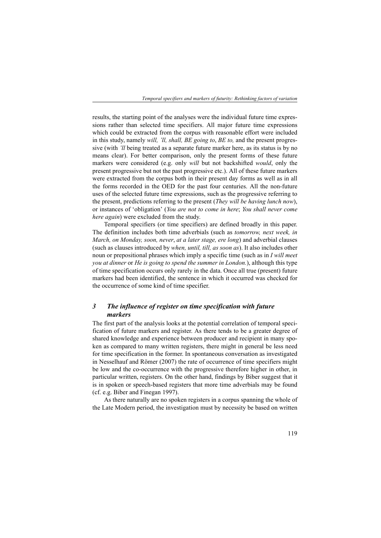results, the starting point of the analyses were the individual future time expressions rather than selected time specifiers. All major future time expressions which could be extracted from the corpus with reasonable effort were included in this study, namely *will, 'll, shall, BE going to*, *BE to,* and the present progressive (with *'ll* being treated as a separate future marker here, as its status is by no means clear). For better comparison, only the present forms of these future markers were considered (e.g. only *will* but not backshifted *would*, only the present progressive but not the past progressive etc.). All of these future markers were extracted from the corpus both in their present day forms as well as in all the forms recorded in the OED for the past four centuries. All the non-future uses of the selected future time expressions, such as the progressive referring to the present, predictions referring to the present (*They will be having lunch now*), or instances of 'obligation' (*You are not to come in here*; *You shall never come here again*) were excluded from the study.

Temporal specifiers (or time specifiers) are defined broadly in this paper. The definition includes both time adverbials (such as *tomorrow, next week, in March, on Monday, soon, never*, *at a later stage, ere long*) and adverbial clauses (such as clauses introduced by *when, until, till, as soon as*). It also includes other noun or prepositional phrases which imply a specific time (such as in *I will meet you at dinner* or *He is going to spend the summer in London.*), although this type of time specification occurs only rarely in the data. Once all true (present) future markers had been identified, the sentence in which it occurred was checked for the occurrence of some kind of time specifier.

# *3 The influence of register on time specification with future markers*

The first part of the analysis looks at the potential correlation of temporal specification of future markers and register. As there tends to be a greater degree of shared knowledge and experience between producer and recipient in many spoken as compared to many written registers, there might in general be less need for time specification in the former. In spontaneous conversation as investigated in Nesselhauf and Römer (2007) the rate of occurrence of time specifiers might be low and the co-occurrence with the progressive therefore higher in other, in particular written, registers. On the other hand, findings by Biber suggest that it is in spoken or speech-based registers that more time adverbials may be found (cf. e.g. Biber and Finegan 1997).

As there naturally are no spoken registers in a corpus spanning the whole of the Late Modern period, the investigation must by necessity be based on written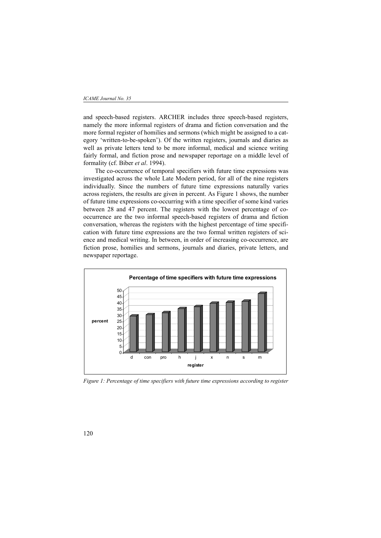#### *ICAME Journal No. 35*

and speech-based registers. ARCHER includes three speech-based registers, namely the more informal registers of drama and fiction conversation and the more formal register of homilies and sermons (which might be assigned to a category 'written-to-be-spoken'). Of the written registers, journals and diaries as well as private letters tend to be more informal, medical and science writing fairly formal, and fiction prose and newspaper reportage on a middle level of formality (cf. Biber *et al*. 1994).

The co-occurrence of temporal specifiers with future time expressions was investigated across the whole Late Modern period, for all of the nine registers individually. Since the numbers of future time expressions naturally varies across registers, the results are given in percent. As Figure 1 shows, the number of future time expressions co-occurring with a time specifier of some kind varies between 28 and 47 percent. The registers with the lowest percentage of cooccurrence are the two informal speech-based registers of drama and fiction conversation, whereas the registers with the highest percentage of time specification with future time expressions are the two formal written registers of science and medical writing. In between, in order of increasing co-occurrence, are fiction prose, homilies and sermons, journals and diaries, private letters, and newspaper reportage.



*Figure 1: Percentage of time specifiers with future time expressions according to register*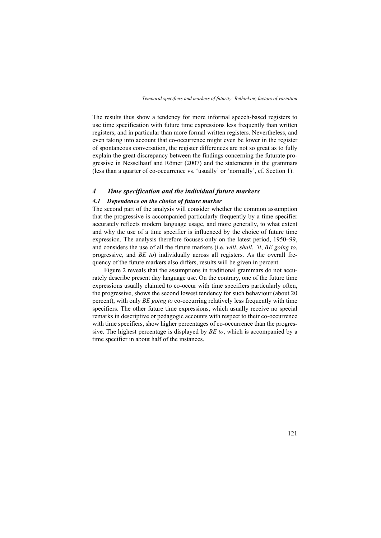The results thus show a tendency for more informal speech-based registers to use time specification with future time expressions less frequently than written registers, and in particular than more formal written registers. Nevertheless, and even taking into account that co-occurrence might even be lower in the register of spontaneous conversation, the register differences are not so great as to fully explain the great discrepancy between the findings concerning the futurate progressive in Nesselhauf and Römer (2007) and the statements in the grammars (less than a quarter of co-occurrence vs. 'usually' or 'normally', cf. Section 1).

### *4 Time specification and the individual future markers*

### *4.1 Dependence on the choice of future marker*

The second part of the analysis will consider whether the common assumption that the progressive is accompanied particularly frequently by a time specifier accurately reflects modern language usage, and more generally, to what extent and why the use of a time specifier is influenced by the choice of future time expression. The analysis therefore focuses only on the latest period, 1950–99, and considers the use of all the future markers (i.e. *will*, *shall*, *'ll*, *BE going to*, progressive, and *BE to*) individually across all registers. As the overall frequency of the future markers also differs, results will be given in percent.

Figure 2 reveals that the assumptions in traditional grammars do not accurately describe present day language use. On the contrary, one of the future time expressions usually claimed to co-occur with time specifiers particularly often, the progressive, shows the second lowest tendency for such behaviour (about 20 percent), with only *BE going to* co-occurring relatively less frequently with time specifiers. The other future time expressions, which usually receive no special remarks in descriptive or pedagogic accounts with respect to their co-occurrence with time specifiers, show higher percentages of co-occurrence than the progressive. The highest percentage is displayed by *BE to*, which is accompanied by a time specifier in about half of the instances.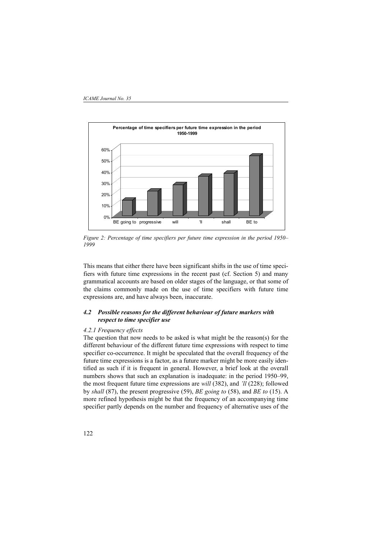

*Figure 2: Percentage of time specifiers per future time expression in the period 1950– 1999*

This means that either there have been significant shifts in the use of time specifiers with future time expressions in the recent past (cf. Section 5) and many grammatical accounts are based on older stages of the language, or that some of the claims commonly made on the use of time specifiers with future time expressions are, and have always been, inaccurate.

### *4.2 Possible reasons for the different behaviour of future markers with respect to time specifier use*

### *4.2.1 Frequency effects*

The question that now needs to be asked is what might be the reason(s) for the different behaviour of the different future time expressions with respect to time specifier co-occurrence. It might be speculated that the overall frequency of the future time expressions is a factor, as a future marker might be more easily identified as such if it is frequent in general. However, a brief look at the overall numbers shows that such an explanation is inadequate: in the period 1950–99, the most frequent future time expressions are *will* (382), and *'ll* (228); followed by *shall* (87), the present progressive (59), *BE going to* (58), and *BE to* (15). A more refined hypothesis might be that the frequency of an accompanying time specifier partly depends on the number and frequency of alternative uses of the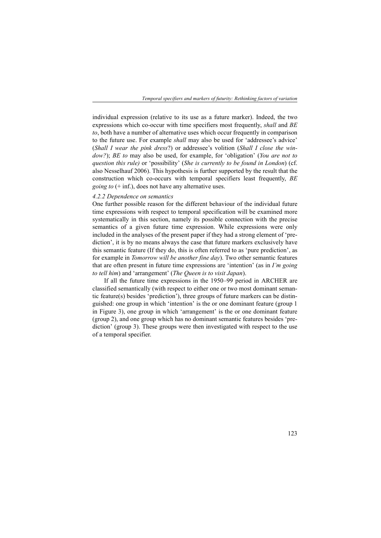individual expression (relative to its use as a future marker). Indeed, the two expressions which co-occur with time specifiers most frequently, *shall* and *BE to*, both have a number of alternative uses which occur frequently in comparison to the future use. For example *shall* may also be used for 'addressee's advice' (*Shall I wear the pink dress*?) or addressee's volition (*Shall I close the window?*); *BE to* may also be used, for example, for 'obligation' (*You are not to question this rule)* or 'possibility' (*She is currently to be found in London*) (cf. also Nesselhauf 2006). This hypothesis is further supported by the result that the construction which co-occurs with temporal specifiers least frequently, *BE going to* (+ inf.), does not have any alternative uses.

#### *4.2.2 Dependence on semantics*

One further possible reason for the different behaviour of the individual future time expressions with respect to temporal specification will be examined more systematically in this section, namely its possible connection with the precise semantics of a given future time expression. While expressions were only included in the analyses of the present paper if they had a strong element of 'prediction', it is by no means always the case that future markers exclusively have this semantic feature (If they do, this is often referred to as 'pure prediction', as for example in *Tomorrow will be another fine day*). Two other semantic features that are often present in future time expressions are 'intention' (as in *I'm going to tell him*) and 'arrangement' (*The Queen is to visit Japan*).

If all the future time expressions in the 1950–99 period in ARCHER are classified semantically (with respect to either one or two most dominant semantic feature(s) besides 'prediction'), three groups of future markers can be distinguished: one group in which 'intention' is the or one dominant feature (group 1 in Figure 3), one group in which 'arrangement' is the or one dominant feature (group 2), and one group which has no dominant semantic features besides 'prediction' (group 3). These groups were then investigated with respect to the use of a temporal specifier.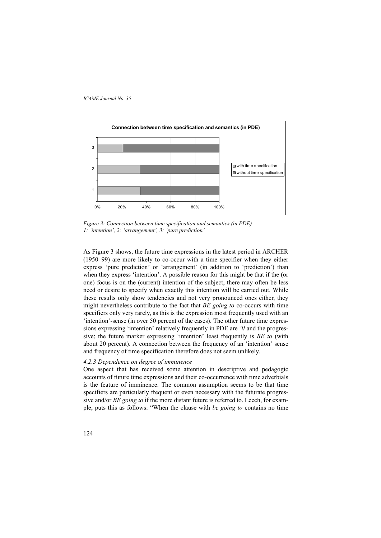

*Figure 3: Connection between time specification and semantics (in PDE) 1: 'intention', 2: 'arrangement', 3: 'pure prediction'*

As Figure 3 shows, the future time expressions in the latest period in ARCHER (1950–99) are more likely to co-occur with a time specifier when they either express 'pure prediction' or 'arrangement' (in addition to 'prediction') than when they express 'intention'. A possible reason for this might be that if the (or one) focus is on the (current) intention of the subject, there may often be less need or desire to specify when exactly this intention will be carried out. While these results only show tendencies and not very pronounced ones either, they might nevertheless contribute to the fact that *BE going to* co-occurs with time specifiers only very rarely, as this is the expression most frequently used with an 'intention'-sense (in over 50 percent of the cases). The other future time expressions expressing 'intention' relatively frequently in PDE are *'ll* and the progressive; the future marker expressing 'intention' least frequently is *BE to* (with about 20 percent). A connection between the frequency of an 'intention' sense and frequency of time specification therefore does not seem unlikely.

#### *4.2.3 Dependence on degree of imminence*

One aspect that has received some attention in descriptive and pedagogic accounts of future time expressions and their co-occurrence with time adverbials is the feature of imminence. The common assumption seems to be that time specifiers are particularly frequent or even necessary with the futurate progressive and/or *BE going to* if the more distant future is referred to. Leech, for example, puts this as follows: "When the clause with *be going to* contains no time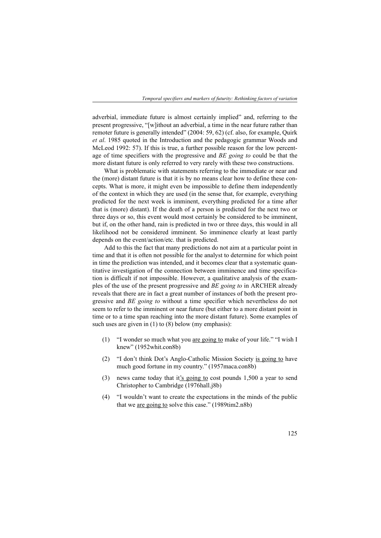adverbial, immediate future is almost certainly implied" and, referring to the present progressive, "[w]ithout an adverbial, a time in the near future rather than remoter future is generally intended" (2004: 59, 62) (cf. also, for example, Quirk *et al*. 1985 quoted in the Introduction and the pedagogic grammar Woods and McLeod 1992: 57). If this is true, a further possible reason for the low percentage of time specifiers with the progressive and *BE going to* could be that the more distant future is only referred to very rarely with these two constructions.

What is problematic with statements referring to the immediate or near and the (more) distant future is that it is by no means clear how to define these concepts. What is more, it might even be impossible to define them independently of the context in which they are used (in the sense that, for example, everything predicted for the next week is imminent, everything predicted for a time after that is (more) distant). If the death of a person is predicted for the next two or three days or so, this event would most certainly be considered to be imminent, but if, on the other hand, rain is predicted in two or three days, this would in all likelihood not be considered imminent. So imminence clearly at least partly depends on the event/action/etc. that is predicted.

Add to this the fact that many predictions do not aim at a particular point in time and that it is often not possible for the analyst to determine for which point in time the prediction was intended, and it becomes clear that a systematic quantitative investigation of the connection between imminence and time specification is difficult if not impossible. However, a qualitative analysis of the examples of the use of the present progressive and *BE going to* in ARCHER already reveals that there are in fact a great number of instances of both the present progressive and *BE going to* without a time specifier which nevertheless do not seem to refer to the imminent or near future (but either to a more distant point in time or to a time span reaching into the more distant future). Some examples of such uses are given in (1) to (8) below (my emphasis):

- (1) "I wonder so much what you are going to make of your life." "I wish I knew" (1952whit.con8b)
- (2) "I don't think Dot's Anglo-Catholic Mission Society is going to have much good fortune in my country." (1957maca.con8b)
- (3) news came today that it's going to cost pounds 1,500 a year to send Christopher to Cambridge (1976hall.j8b)
- (4) "I wouldn't want to create the expectations in the minds of the public that we are going to solve this case." (1989tim2.n8b)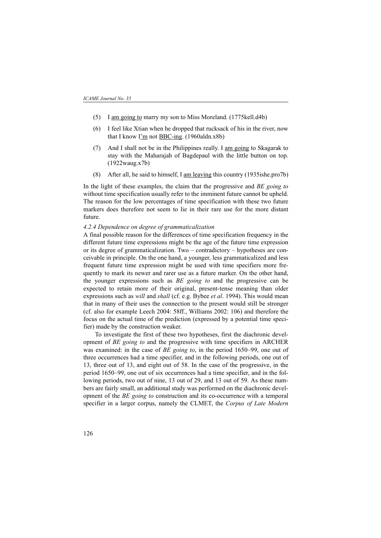- (5) I am going to marry my son to Miss Moreland. (1775kell.d4b)
- (6) I feel like Xtian when he dropped that rucksack of his in the river, now that I know I'm not BBC-ing. (1960aldn.x8b)
- (7) And I shall not be in the Philippines really. I am going to Skagarak to stay with the Maharajah of Bagdepaul with the little button on top. (1922waug.x7b)
- (8) After all, he said to himself, I am leaving this country (1935ishe.pro7b)

In the light of these examples, the claim that the progressive and *BE going to* without time specification usually refer to the imminent future cannot be upheld. The reason for the low percentages of time specification with these two future markers does therefore not seem to lie in their rare use for the more distant future.

### *4.2.4 Dependence on degree of grammaticalization*

A final possible reason for the differences of time specification frequency in the different future time expressions might be the age of the future time expression or its degree of grammaticalization. Two – contradictory – hypotheses are conceivable in principle. On the one hand, a younger, less grammaticalized and less frequent future time expression might be used with time specifiers more frequently to mark its newer and rarer use as a future marker. On the other hand, the younger expressions such as *BE going to* and the progressive can be expected to retain more of their original, present-tense meaning than older expressions such as *will* and *shall* (cf. e.g. Bybee *et al*. 1994). This would mean that in many of their uses the connection to the present would still be stronger (cf. also for example Leech 2004: 58ff., Williams 2002: 106) and therefore the focus on the actual time of the prediction (expressed by a potential time specifier) made by the construction weaker.

To investigate the first of these two hypotheses, first the diachronic development of *BE going to* and the progressive with time specifiers in ARCHER was examined: in the case of *BE going to*, in the period 1650–99, one out of three occurrences had a time specifier, and in the following periods, one out of 13, three out of 13, and eight out of 58. In the case of the progressive, in the period 1650–99, one out of six occurrences had a time specifier, and in the following periods, two out of nine, 13 out of 29, and 13 out of 59. As these numbers are fairly small, an additional study was performed on the diachronic development of the *BE going to* construction and its co-occurrence with a temporal specifier in a larger corpus, namely the CLMET, the *Corpus of Late Modern*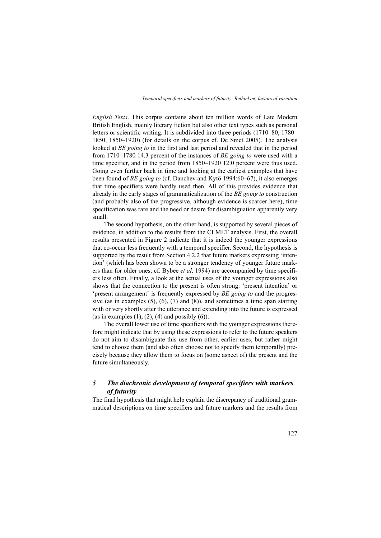*English Texts*. This corpus contains about ten million words of Late Modern British English, mainly literary fiction but also other text types such as personal letters or scientific writing. It is subdivided into three periods (1710–80, 1780– 1850, 1850–1920) (for details on the corpus cf. De Smet 2005). The analysis looked at *BE going to* in the first and last period and revealed that in the period from 1710–1780 14.3 percent of the instances of *BE going to* were used with a time specifier, and in the period from 1850–1920 12.0 percent were thus used. Going even further back in time and looking at the earliest examples that have been found of *BE going to* (cf. Danchev and Kytö 1994:60–67), it also emerges that time specifiers were hardly used then. All of this provides evidence that already in the early stages of grammaticalization of the *BE going to* construction (and probably also of the progressive, although evidence is scarcer here), time specification was rare and the need or desire for disambiguation apparently very small.

The second hypothesis, on the other hand, is supported by several pieces of evidence, in addition to the results from the CLMET analysis. First, the overall results presented in Figure 2 indicate that it is indeed the younger expressions that co-occur less frequently with a temporal specifier. Second, the hypothesis is supported by the result from Section 4.2.2 that future markers expressing 'intention' (which has been shown to be a stronger tendency of younger future markers than for older ones; cf. Bybee *et al*. 1994) are accompanied by time specifiers less often. Finally, a look at the actual uses of the younger expressions also shows that the connection to the present is often strong: 'present intention' or 'present arrangement' is frequently expressed by *BE going to* and the progressive (as in examples  $(5)$ ,  $(6)$ ,  $(7)$  and  $(8)$ ), and sometimes a time span starting with or very shortly after the utterance and extending into the future is expressed (as in examples  $(1)$ ,  $(2)$ ,  $(4)$  and possibly  $(6)$ ).

The overall lower use of time specifiers with the younger expressions therefore might indicate that by using these expressions to refer to the future speakers do not aim to disambiguate this use from other, earlier uses, but rather might tend to choose them (and also often choose not to specify them temporally) precisely because they allow them to focus on (some aspect of) the present and the future simultaneously.

## *5 The diachronic development of temporal specifiers with markers of futurity*

The final hypothesis that might help explain the discrepancy of traditional grammatical descriptions on time specifiers and future markers and the results from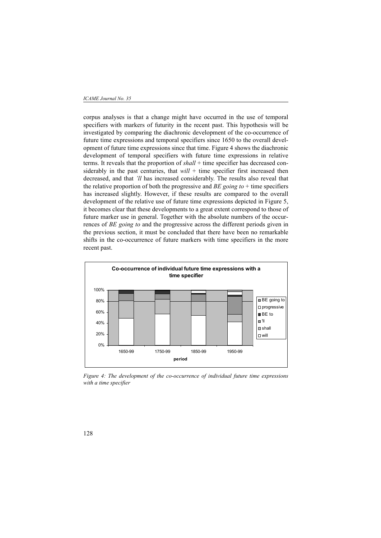#### *ICAME Journal No. 35*

corpus analyses is that a change might have occurred in the use of temporal specifiers with markers of futurity in the recent past. This hypothesis will be investigated by comparing the diachronic development of the co-occurrence of future time expressions and temporal specifiers since 1650 to the overall development of future time expressions since that time. Figure 4 shows the diachronic development of temporal specifiers with future time expressions in relative terms. It reveals that the proportion of *shall* + time specifier has decreased considerably in the past centuries, that  $will$  + time specifier first increased then decreased, and that *'ll* has increased considerably. The results also reveal that the relative proportion of both the progressive and *BE going to* + time specifiers has increased slightly. However, if these results are compared to the overall development of the relative use of future time expressions depicted in Figure 5, it becomes clear that these developments to a great extent correspond to those of future marker use in general. Together with the absolute numbers of the occurrences of *BE going to* and the progressive across the different periods given in the previous section, it must be concluded that there have been no remarkable shifts in the co-occurrence of future markers with time specifiers in the more recent past.



*Figure 4: The development of the co-occurrence of individual future time expressions with a time specifier*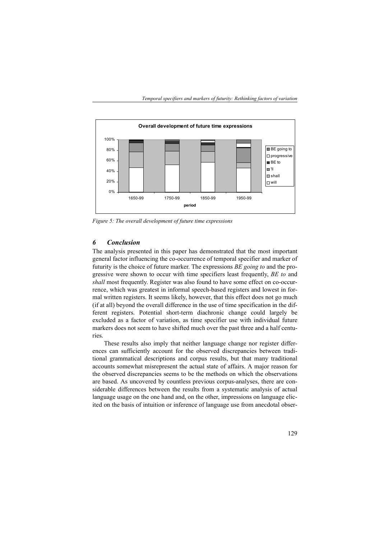

*Figure 5: The overall development of future time expressions*

### *6 Conclusion*

The analysis presented in this paper has demonstrated that the most important general factor influencing the co-occurrence of temporal specifier and marker of futurity is the choice of future marker. The expressions *BE going to* and the progressive were shown to occur with time specifiers least frequently, *BE to* and *shall* most frequently. Register was also found to have some effect on co-occurrence, which was greatest in informal speech-based registers and lowest in formal written registers. It seems likely, however, that this effect does not go much (if at all) beyond the overall difference in the use of time specification in the different registers. Potential short-term diachronic change could largely be excluded as a factor of variation, as time specifier use with individual future markers does not seem to have shifted much over the past three and a half centuries.

These results also imply that neither language change nor register differences can sufficiently account for the observed discrepancies between traditional grammatical descriptions and corpus results, but that many traditional accounts somewhat misrepresent the actual state of affairs. A major reason for the observed discrepancies seems to be the methods on which the observations are based. As uncovered by countless previous corpus-analyses, there are considerable differences between the results from a systematic analysis of actual language usage on the one hand and, on the other, impressions on language elicited on the basis of intuition or inference of language use from anecdotal obser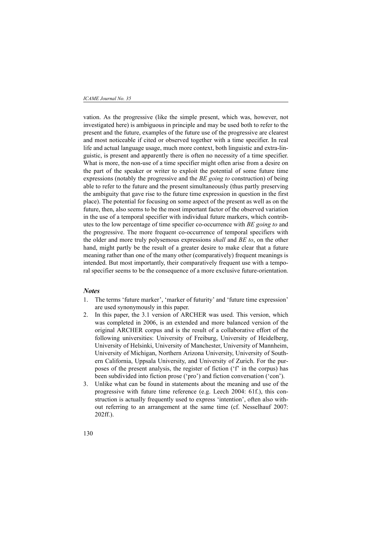vation. As the progressive (like the simple present, which was, however, not investigated here) is ambiguous in principle and may be used both to refer to the present and the future, examples of the future use of the progressive are clearest and most noticeable if cited or observed together with a time specifier. In real life and actual language usage, much more context, both linguistic and extra-linguistic, is present and apparently there is often no necessity of a time specifier. What is more, the non-use of a time specifier might often arise from a desire on the part of the speaker or writer to exploit the potential of some future time expressions (notably the progressive and the *BE going to* construction) of being able to refer to the future and the present simultaneously (thus partly preserving the ambiguity that gave rise to the future time expression in question in the first place). The potential for focusing on some aspect of the present as well as on the future, then, also seems to be the most important factor of the observed variation in the use of a temporal specifier with individual future markers, which contributes to the low percentage of time specifier co-occurrence with *BE going to* and the progressive. The more frequent co-occurrence of temporal specifiers with the older and more truly polysemous expressions *shall* and *BE to*, on the other hand, might partly be the result of a greater desire to make clear that a future meaning rather than one of the many other (comparatively) frequent meanings is intended. But most importantly, their comparatively frequent use with a temporal specifier seems to be the consequence of a more exclusive future-orientation.

### *Notes*

- 1. The terms 'future marker', 'marker of futurity' and 'future time expression' are used synonymously in this paper.
- 2. In this paper, the 3.1 version of ARCHER was used. This version, which was completed in 2006, is an extended and more balanced version of the original ARCHER corpus and is the result of a collaborative effort of the following universities: University of Freiburg, University of Heidelberg, University of Helsinki, University of Manchester, University of Mannheim, University of Michigan, Northern Arizona University, University of Southern California, Uppsala University, and University of Zurich. For the purposes of the present analysis, the register of fiction ('f' in the corpus) has been subdivided into fiction prose ('pro') and fiction conversation ('con').
- 3. Unlike what can be found in statements about the meaning and use of the progressive with future time reference (e.g. Leech 2004: 61f.), this construction is actually frequently used to express 'intention', often also without referring to an arrangement at the same time (cf. Nesselhauf 2007: 202ff.).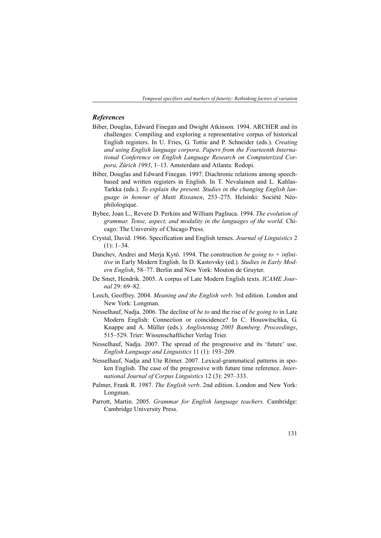*Temporal specifiers and markers of futurity: Rethinking factors of variation*

### *References*

- Biber, Douglas, Edward Finegan and Dwight Atkinson. 1994. ARCHER and its challenges: Compiling and exploring a representative corpus of historical English registers. In U. Fries, G. Tottie and P. Schneider (eds.). *Creating and using English language corpora*. *Papers from the Fourteenth International Conference on English Language Research on Computerized Corpora, Zürich 1993*, 1–13. Amsterdam and Atlanta: Rodopi.
- Biber, Douglas and Edward Finegan. 1997. Diachronic relations among speechbased and written registers in English. In T. Nevalainen and L. Kahlas-Tarkka (eds.). *To explain the present. Studies in the changing English language in honour of Matti Rissanen*, 253–275. Helsinki: Société Néophilologique.
- Bybee, Joan L., Revere D. Perkins and William Pagliuca. 1994. *The evolution of grammar. Tense, aspect, and modality in the languages of the world.* Chicago: The University of Chicago Press.
- Crystal, David. 1966. Specification and English tenses. *Journal of Linguistics* 2  $(1): 1-34.$
- Danchev, Andrei and Merja Kytö. 1994. The construction *be going to + infinitive* in Early Modern English. In D. Kastovsky (ed.). *Studies in Early Modern English*, 58–77. Berlin and New York: Mouton de Gruyter.
- De Smet, Hendrik. 2005. A corpus of Late Modern English texts. *ICAME Journal* 29: 69–82.
- Leech, Geoffrey. 2004. *Meaning and the English verb*. 3rd edition. London and New York: Longman.
- Nesselhauf, Nadja. 2006. The decline of *be to* and the rise of *be going to* in Late Modern English: Connection or coincidence? In C. Houswitschka, G. Knappe and A. Müller (eds.). *Anglistentag 2005 Bamberg. Proceedings*, 515–529. Trier: Wissenschaftlicher Verlag Trier.
- Nesselhauf, Nadja. 2007. The spread of the progressive and its 'future' use. *English Language and Linguistics* 11 (1): 193–209.
- Nesselhauf, Nadja and Ute Römer. 2007. Lexical-grammatical patterns in spoken English. The case of the progressive with future time reference. *International Journal of Corpus Linguistics* 12 (3): 297–333.
- Palmer, Frank R. 1987. *The English verb*. 2nd edition. London and New York: Longman.
- Parrott, Martin. 2005. *Grammar for English language teachers.* Cambridge: Cambridge University Press.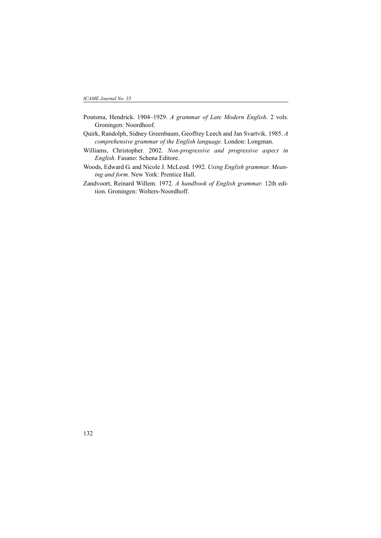- Poutsma, Hendrick. 1904–1929. *A grammar of Late Modern English*. 2 vols. Groningen: Noordhoof.
- Quirk, Randolph, Sidney Greenbaum, Geoffrey Leech and Jan Svartvik. 1985. *A comprehensive grammar of the English language*. London: Longman.
- Williams, Christopher. 2002. *Non-progressive and progressive aspect in English*. Fasano: Schena Editore.
- Woods, Edward G. and Nicole J. McLeod. 1992. *Using English grammar. Meaning and form.* New York: Prentice Hall.
- Zandvoort, Reinard Willem. 1972. *A handbook of English grammar*. 12th edition. Groningen: Wolters-Noordhoff.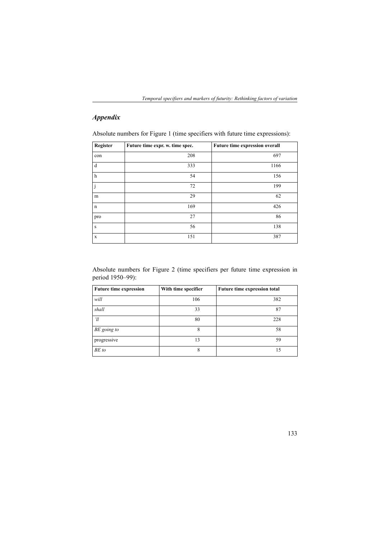*Temporal specifiers and markers of futurity: Rethinking factors of variation*

# *Appendix*

Absolute numbers for Figure 1 (time specifiers with future time expressions):

| Register    | Future time expr. w. time spec. | Future time expression overall |
|-------------|---------------------------------|--------------------------------|
| con         | 208                             | 697                            |
| d           | 333                             | 1166                           |
| $\,$ h      | 54                              | 156                            |
| j           | 72                              | 199                            |
| m           | 29                              | 62                             |
| $\mathbf n$ | 169                             | 426                            |
| pro         | 27                              | 86                             |
| S           | 56                              | 138                            |
| X           | 151                             | 387                            |

Absolute numbers for Figure 2 (time specifiers per future time expression in period 1950–99):

| <b>Future time expression</b> | With time specifier | Future time expression total |
|-------------------------------|---------------------|------------------------------|
| will                          | 106                 | 382                          |
| shall                         | 33                  | 87                           |
| 'll                           | 80                  | 228                          |
| BE going to                   | 8                   | 58                           |
| progressive                   | 13                  | 59                           |
| BE to                         | 8                   | 15                           |

133